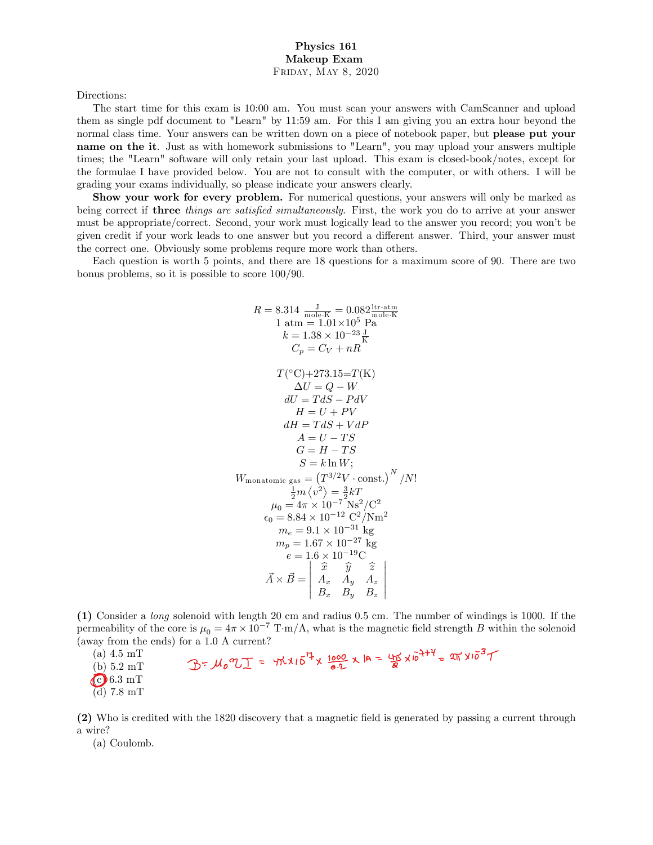Directions:

The start time for this exam is 10:00 am. You must scan your answers with CamScanner and upload them as single pdf document to "Learn" by 11:59 am. For this I am giving you an extra hour beyond the normal class time. Your answers can be written down on a piece of notebook paper, but **please put your** name on the it. Just as with homework submissions to "Learn", you may upload your answers multiple times; the "Learn" software will only retain your last upload. This exam is closed-book/notes, except for the formulae I have provided below. You are not to consult with the computer, or with others. I will be grading your exams individually, so please indicate your answers clearly.

Show your work for every problem. For numerical questions, your answers will only be marked as being correct if **three** things are satisfied simultaneously. First, the work you do to arrive at your answer must be appropriate/correct. Second, your work must logically lead to the answer you record; you wonít be given credit if your work leads to one answer but you record a different answer. Third, your answer must the correct one. Obviously some problems requre more work than others.

Each question is worth 5 points, and there are 18 questions for a maximum score of 90. There are two bonus problems, so it is possible to score 100/90.

$$
R = 8.314 \frac{J}{\text{mole-K}} = 0.082 \frac{\text{hr-atm}}{\text{mole-K}}
$$
  
\n
$$
1 \text{ atm} = 1.01 \times 10^5 \text{ Pa}
$$
  
\n
$$
k = 1.38 \times 10^{-23} \frac{J}{K}
$$
  
\n
$$
C_p = C_V + nR
$$
  
\n
$$
T(^{\circ}C) + 273.15 = T(K)
$$
  
\n
$$
\Delta U = Q - W
$$
  
\n
$$
dU = T dS - P dV
$$
  
\n
$$
H = U + PV
$$
  
\n
$$
dH = T dS + V dP
$$
  
\n
$$
A = U - TS
$$
  
\n
$$
G = H - TS
$$
  
\n
$$
S = k \ln W;
$$
  
\n
$$
W_{\text{monatomic gas}} = (T^{3/2}V \cdot \text{const.})^N / N!
$$
  
\n
$$
\frac{1}{2}m \langle v^2 \rangle = \frac{3}{2} kT
$$
  
\n
$$
\mu_0 = 4\pi \times 10^{-7} \text{ Ns}^2 / C^2
$$
  
\n
$$
\epsilon_0 = 8.84 \times 10^{-12} \text{ C}^2 / \text{N} \text{m}^2
$$
  
\n
$$
m_e = 9.1 \times 10^{-31} \text{ kg}
$$
  
\n
$$
m_p = 1.67 \times 10^{-27} \text{ kg}
$$
  
\n
$$
e = 1.6 \times 10^{-19} \text{C}
$$
  
\n
$$
\vec{A} \times \vec{B} = \begin{vmatrix} \hat{x} & \hat{y} & \hat{z} \\ A_x & A_y & A_z \\ B_x & B_y & B_z \end{vmatrix}
$$

(1) Consider a long solenoid with length 20 cm and radius 0.5 cm. The number of windings is 1000. If the permeability of the core is  $\mu_0 = 4\pi \times 10^{-7} \text{ T} \cdot \text{m/A}$ , what is the magnetic field strength B within the solenoid (away from the ends) for a 1.0 A current?<br>
(a) 4.5 mT<br>
(b) 5.2 mT<br>  $\mathcal{D} = \mathcal{M}_0 \mathcal{I} = \forall \hat{h} \times 10^{\overline{h}} \times \frac{1000}{a \cdot 2} \times 10^{-2} \times 10^{-2} \times 10^{-3} \text{ T}$ 

```
(a) 4.5 mT
```

```
(b) 5.2 \text{ mT}
```
 $\bigodot$  6.3 mT

 $(d)$  7.8 mT

(2) Who is credited with the 1820 discovery that a magnetic Öeld is generated by passing a current through a wire?

(a) Coulomb.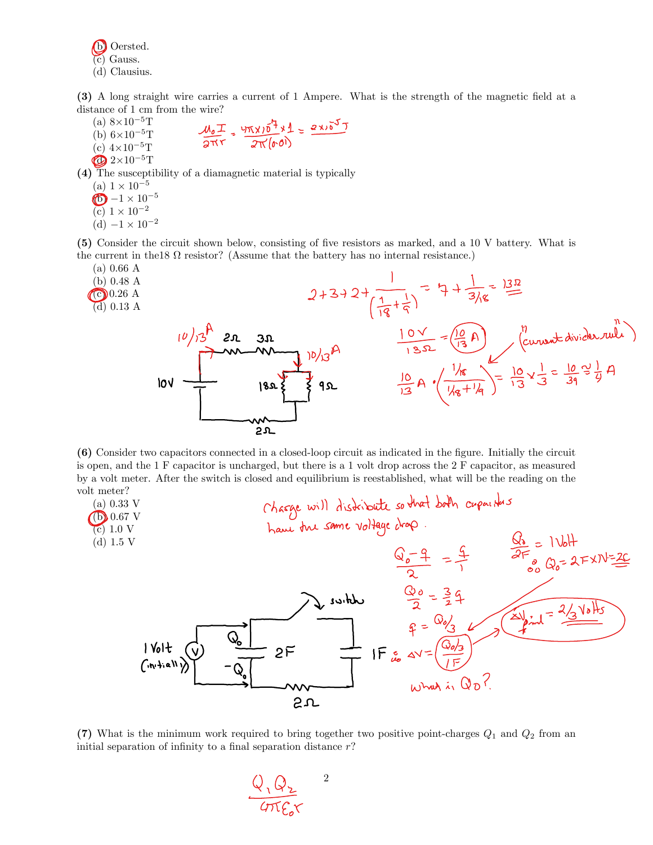(b) Oersted. (c) Gauss. (d) Clausius.

(3) A long straight wire carries a current of 1 Ampere. What is the strength of the magnetic Öeld at a distance of 1 cm from the wire?

- (a)  $8 \times 10^{-5}$ T  $\frac{M_{0}T}{2\pi r}$  =  $\frac{4\pi x}{2\pi (h_0)}$ (b)  $6 \times 10^{-5}$ T (c)  $4 \times 10^{-5}$ T
- $\bigotimes 2\times 10^{-5} \text{T}$

(4) The susceptibility of a diamagnetic material is typically

- (a)  $1 \times 10^{-5}$  $\bigoplus -1 \times 10^{-5}$ (c)  $1 \times 10^{-2}$
- (d)  $-1 \times 10^{-2}$

(5) Consider the circuit shown below, consisting of Öve resistors as marked, and a 10 V battery. What is the current in the 18  $\Omega$  resistor? (Assume that the battery has no internal resistance.)



(6) Consider two capacitors connected in a closed-loop circuit as indicated in the Ögure. Initially the circuit is open, and the 1 F capacitor is uncharged, but there is a 1 volt drop across the 2 F capacitor, as measured by a volt meter. After the switch is closed and equilibrium is reestablished, what will be the reading on the volt meter?



(7) What is the minimum work required to bring together two positive point-charges  $Q_1$  and  $Q_2$  from an initial separation of infinity to a final separation distance  $r$ ?

2 $\frac{Q_1 Q_2}{G T C r}$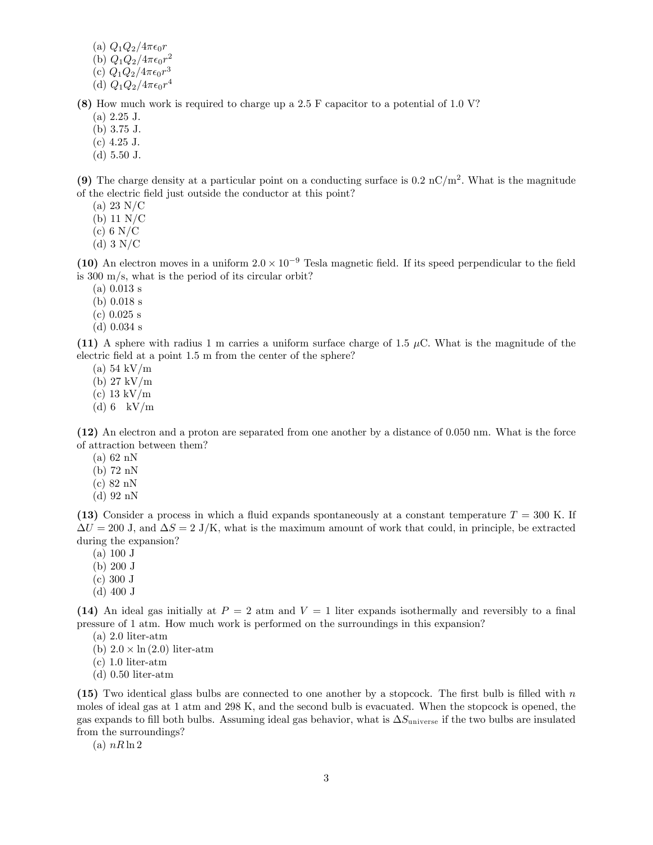- (a)  $Q_1Q_2/4\pi\epsilon_0r$
- (b)  $Q_1 Q_2 / 4 \pi \epsilon_0 r^2$
- (c)  $Q_1 Q_2 / 4 \pi \epsilon_0 r^3$
- (d)  $Q_1 Q_2 / 4 \pi \epsilon_0 r^4$

(8) How much work is required to charge up a 2.5 F capacitor to a potential of 1.0 V?

- $(a) 2.25$  J.
- (b) 3:75 J.
- $(c)$  4.25 J.
- (d) 5:50 J.

(9) The charge density at a particular point on a conducting surface is  $0.2 \text{ nC/m}^2$ . What is the magnitude of the electric Öeld just outside the conductor at this point?

- (a) 23 N/C
- (b) 11 N/C
- $(c)$  6 N/C
- $(d)$  3 N/C

(10) An electron moves in a uniform  $2.0 \times 10^{-9}$  Tesla magnetic field. If its speed perpendicular to the field is 300 m/s, what is the period of its circular orbit?

- (a) 0.013 s
- (b) 0.018 s
- (c) 0.025 s
- (d) 0.034 s

(11) A sphere with radius 1 m carries a uniform surface charge of 1.5  $\mu$ C. What is the magnitude of the electric field at a point 1.5 m from the center of the sphere?

- (a) 54 kV/m
- (b) 27 kV/m
- (c) 13 kV/m
- (d) 6 kV/m

(12) An electron and a proton are separated from one another by a distance of 0.050 nm. What is the force of attraction between them?

- (a) 62 nN
- (b) 72 nN
- (c) 82 nN
- (d) 92 nN

(13) Consider a process in which a fluid expands spontaneously at a constant temperature  $T = 300$  K. If  $\Delta U = 200 \text{ J}$ , and  $\Delta S = 2 \text{ J/K}$ , what is the maximum amount of work that could, in principle, be extracted during the expansion?

- (a) 100 J
- (b) 200 J
- (c) 300 J
- (d) 400 J

(14) An ideal gas initially at  $P = 2$  atm and  $V = 1$  liter expands isothermally and reversibly to a final pressure of 1 atm. How much work is performed on the surroundings in this expansion?

- $(a)$  2.0 liter-atm
- (b)  $2.0 \times \ln(2.0)$  liter-atm
- $(c)$  1.0 liter-atm
- $(d)$  0.50 liter-atm

(15) Two identical glass bulbs are connected to one another by a stopcock. The first bulb is filled with  $n$ moles of ideal gas at 1 atm and 298 K, and the second bulb is evacuated. When the stopcock is opened, the gas expands to fill both bulbs. Assuming ideal gas behavior, what is  $\Delta S_{\text{universe}}$  if the two bulbs are insulated from the surroundings?

(a)  $nR \ln 2$